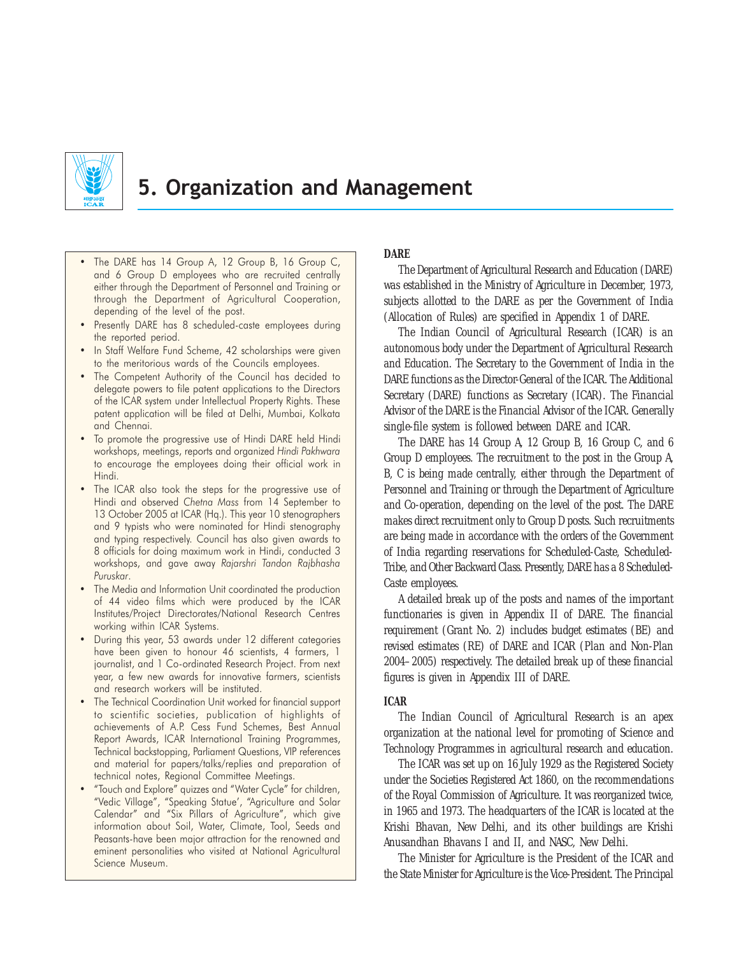

# 5. Organization and Management

- The DARE has 14 Group A, 12 Group B, 16 Group C, and 6 Group D employees who are recruited centrally either through the Department of Personnel and Training or through the Department of Agricultural Cooperation, depending of the level of the post.
- Presently DARE has 8 scheduled-caste employees during the reported period.
- In Staff Welfare Fund Scheme, 42 scholarships were given to the meritorious wards of the Councils employees.
- The Competent Authority of the Council has decided to delegate powers to file patent applications to the Directors of the ICAR system under Intellectual Property Rights. These patent application will be filed at Delhi, Mumbai, Kolkata and Chennai.
- To promote the progressive use of Hindi DARE held Hindi workshops, meetings, reports and organized Hindi Pakhwara to encourage the employees doing their official work in Hindi.
- The ICAR also took the steps for the progressive use of Hindi and observed Chetna Mass from 14 September to 13 October 2005 at ICAR (Hq.). This year 10 stenographers and 9 typists who were nominated for Hindi stenography and typing respectively. Council has also given awards to 8 officials for doing maximum work in Hindi, conducted 3 workshops, and gave away Rajarshri Tandon Rajbhasha Puruskar.
- The Media and Information Unit coordinated the production of 44 video films which were produced by the ICAR Institutes/Project Directorates/National Research Centres working within ICAR Systems.
- During this year, 53 awards under 12 different categories have been given to honour 46 scientists, 4 farmers, 1 journalist, and 1 Co-ordinated Research Project. From next year, a few new awards for innovative farmers, scientists and research workers will be instituted.
- The Technical Coordination Unit worked for financial support to scientific societies, publication of highlights of achievements of A.P. Cess Fund Schemes, Best Annual Report Awards, ICAR International Training Programmes, Technical backstopping, Parliament Questions, VIP references and material for papers/talks/replies and preparation of technical notes, Regional Committee Meetings.
- "Touch and Explore" quizzes and "Water Cycle" for children, "Vedic Village", "Speaking Statue', "Agriculture and Solar Calendar" and "Six Pillars of Agriculture", which give information about Soil, Water, Climate, Tool, Seeds and Peasants-have been major attraction for the renowned and eminent personalities who visited at National Agricultural Science Museum.

# **DARE**

The Department of Agricultural Research and Education (DARE) was established in the Ministry of Agriculture in December, 1973, subjects allotted to the DARE as per the Government of India (Allocation of Rules) are specified in Appendix 1 of DARE.

The Indian Council of Agricultural Research (ICAR) is an autonomous body under the Department of Agricultural Research and Education. The Secretary to the Government of India in the DARE functions as the Director-General of the ICAR. The Additional Secretary (DARE) functions as Secretary (ICAR). The Financial Advisor of the DARE is the Financial Advisor of the ICAR. Generally single-file system is followed between DARE and ICAR.

The DARE has 14 Group A, 12 Group B, 16 Group C, and 6 Group D employees. The recruitment to the post in the Group A, B, C is being made centrally, either through the Department of Personnel and Training or through the Department of Agriculture and Co-operation, depending on the level of the post. The DARE makes direct recruitment only to Group D posts. Such recruitments are being made in accordance with the orders of the Government of India regarding reservations for Scheduled-Caste, Scheduled-Tribe, and Other Backward Class. Presently, DARE has a 8 Scheduled-Caste employees.

A detailed break up of the posts and names of the important functionaries is given in Appendix II of DARE. The financial requirement (Grant No. 2) includes budget estimates (BE) and revised estimates (RE) of DARE and ICAR (Plan and Non-Plan 2004–2005) respectively. The detailed break up of these financial figures is given in Appendix III of DARE.

# **ICAR**

The Indian Council of Agricultural Research is an apex organization at the national level for promoting of Science and Technology Programmes in agricultural research and education.

The ICAR was set up on 16July 1929 as the Registered Society under the Societies Registered Act 1860, on the recommendations of the Royal Commission of Agriculture. It was reorganized twice, in 1965 and 1973. The headquarters of the ICAR is located at the Krishi Bhavan, New Delhi, and its other buildings are Krishi Anusandhan Bhavans I and II, and NASC, New Delhi.

The Minister for Agriculture is the President of the ICAR and the State Minister for Agriculture is the Vice-President. The Principal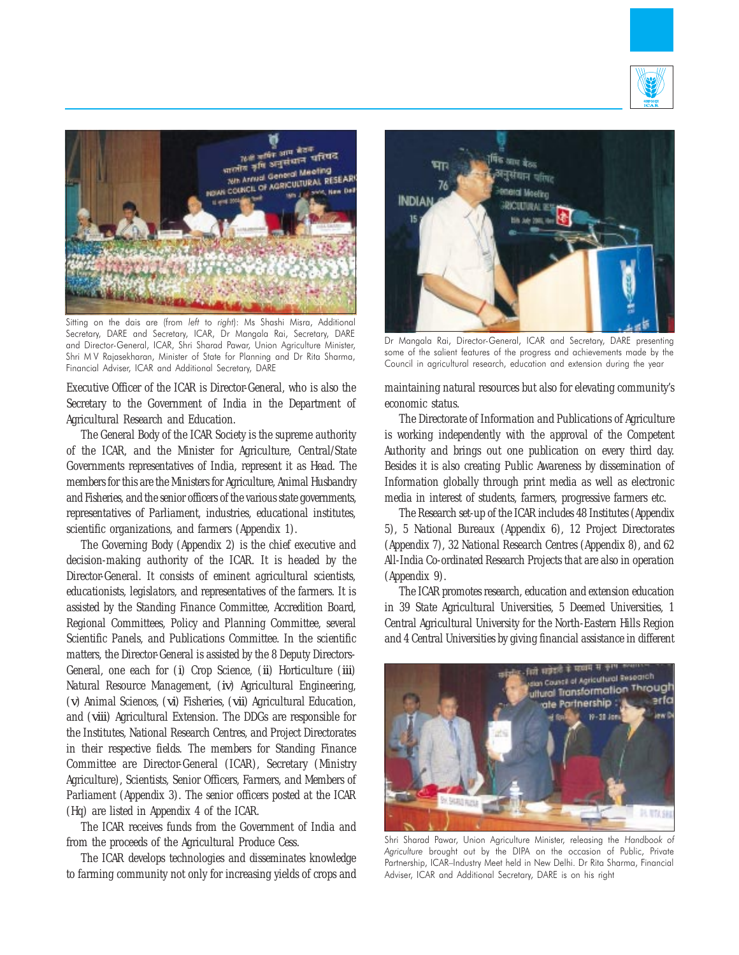



Sitting on the dais are (from left to right): Ms Shashi Misra, Additional Secretary, DARE and Secretary, ICAR, Dr Mangala Rai, Secretary, DARE and Director-General, ICAR, Shri Sharad Pawar, Union Agriculture Minister, Shri M V Rajasekharan, Minister of State for Planning and Dr Rita Sharma, Financial Adviser, ICAR and Additional Secretary, DARE

Executive Officer of the ICAR is Director-General, who is also the Secretary to the Government of India in the Department of Agricultural Research and Education.

The General Body of the ICAR Society is the supreme authority of the ICAR, and the Minister for Agriculture, Central/State Governments representatives of India, represent it as Head. The members for this are the Ministers for Agriculture, Animal Husbandry and Fisheries, and the senior officers of the various state governments, representatives of Parliament, industries, educational institutes, scientific organizations, and farmers (Appendix 1).

The Governing Body (Appendix 2) is the chief executive and decision-making authority of the ICAR. It is headed by the Director-General. It consists of eminent agricultural scientists, educationists, legislators, and representatives of the farmers. It is assisted by the Standing Finance Committee, Accredition Board, Regional Committees, Policy and Planning Committee, several Scientific Panels, and Publications Committee. In the scientific matters, the Director-General is assisted by the 8 Deputy Directors-General, one each for (*i*) Crop Science, (*ii*) Horticulture (*iii*) Natural Resource Management, (*iv*) Agricultural Engineering, (*v*) Animal Sciences, (*vi*) Fisheries, (*vii*) Agricultural Education, and (*viii*) Agricultural Extension. The DDGs are responsible for the Institutes, National Research Centres, and Project Directorates in their respective fields. The members for Standing Finance Committee are Director-General (ICAR), Secretary (Ministry Agriculture), Scientists, Senior Officers, Farmers, and Members of Parliament (Appendix 3). The senior officers posted at the ICAR (Hq) are listed in Appendix 4 of the ICAR.

The ICAR receives funds from the Government of India and from the proceeds of the Agricultural Produce Cess.

The ICAR develops technologies and disseminates knowledge to farming community not only for increasing yields of crops and



Dr Mangala Rai, Director-General, ICAR and Secretary, DARE presenting some of the salient features of the progress and achievements made by the Council in agricultural research, education and extension during the year

maintaining natural resources but also for elevating community's economic status.

The Directorate of Information and Publications of Agriculture is working independently with the approval of the Competent Authority and brings out one publication on every third day. Besides it is also creating Public Awareness by dissemination of Information globally through print media as well as electronic media in interest of students, farmers, progressive farmers etc.

The Research set-up of the ICAR includes 48 Institutes (Appendix 5), 5 National Bureaux (Appendix 6), 12 Project Directorates (Appendix 7), 32 National Research Centres (Appendix 8), and 62 All-India Co-ordinated Research Projects that are also in operation (Appendix 9).

The ICAR promotes research, education and extension education in 39 State Agricultural Universities, 5 Deemed Universities, 1 Central Agricultural University for the North-Eastern Hills Region and 4 Central Universities by giving financial assistance in different



Shri Sharad Pawar, Union Agriculture Minister, releasing the Handbook of Agriculture brought out by the DIPA on the occasion of Public, Private Partnership, ICAR–Industry Meet held in New Delhi. Dr Rita Sharma, Financial Adviser, ICAR and Additional Secretary, DARE is on his right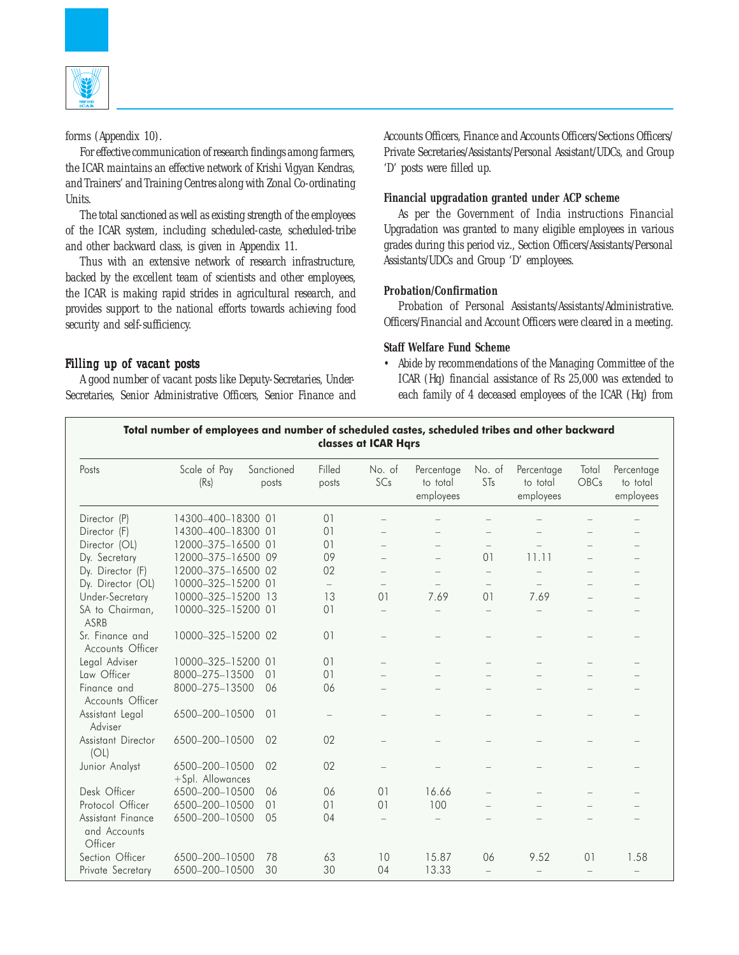

forms (Appendix 10).

For effective communication of research findings among farmers, the ICAR maintains an effective network of Krishi Vigyan Kendras, and Trainers' and Training Centres along with Zonal Co-ordinating Units.

The total sanctioned as well as existing strength of the employees of the ICAR system, including scheduled-caste, scheduled-tribe and other backward class, is given in Appendix 11.

Thus with an extensive network of research infrastructure, backed by the excellent team of scientists and other employees, the ICAR is making rapid strides in agricultural research, and provides support to the national efforts towards achieving food security and self-sufficiency.

Accounts Officers, Finance and Accounts Officers/Sections Officers/ Private Secretaries/Assistants/Personal Assistant/UDCs, and Group 'D' posts were filled up.

# **Financial upgradation granted under ACP scheme**

As per the Government of India instructions Financial Upgradation was granted to many eligible employees in various grades during this period viz., Section Officers/Assistants/Personal Assistants/UDCs and Group 'D' employees.

#### **Probation/Confirmation**

Probation of Personal Assistants/Assistants/Administrative. Officers/Financial and Account Officers were cleared in a meeting.

## **Staff Welfare Fund Scheme**

• Abide by recommendations of the Managing Committee of the ICAR (Hq) financial assistance of Rs 25,000 was extended to each family of 4 deceased employees of the ICAR (Hq) from

#### Filling up of vacant posts

A good number of vacant posts like Deputy-Secretaries, Under-Secretaries, Senior Administrative Officers, Senior Finance and

| Total number of employees and number of scheduled castes, scheduled tribes and other backward<br>classes at ICAR Hars |                                    |                     |                          |                          |                                     |                   |                                     |                          |                                     |
|-----------------------------------------------------------------------------------------------------------------------|------------------------------------|---------------------|--------------------------|--------------------------|-------------------------------------|-------------------|-------------------------------------|--------------------------|-------------------------------------|
| Posts                                                                                                                 | Scale of Pay<br>(Rs)               | Sanctioned<br>posts | Filled<br>posts          | No. of<br>SCs            | Percentage<br>to total<br>employees | No. of<br>STs     | Percentage<br>to total<br>employees | Total<br>OBCs            | Percentage<br>to total<br>employees |
| Director (P)                                                                                                          | 14300-400-18300 01                 |                     | 0 <sub>1</sub>           | ÷                        |                                     |                   |                                     |                          |                                     |
| Director (F)                                                                                                          | 14300-400-18300 01                 |                     | 0 <sub>1</sub>           |                          |                                     |                   |                                     |                          |                                     |
| Director (OL)                                                                                                         | 12000-375-16500 01                 |                     | 01                       | $\equiv$                 | $\equiv$                            | $\equiv$          |                                     |                          |                                     |
| Dy. Secretary                                                                                                         | 12000-375-16500 09                 |                     | 09                       | L.                       | $\equiv$                            | 0 <sub>1</sub>    | 11.11                               |                          |                                     |
| Dy. Director (F)                                                                                                      | 12000-375-16500 02                 |                     | 02                       |                          |                                     | $\qquad \qquad -$ |                                     |                          |                                     |
| Dy. Director (OL)                                                                                                     | 10000-325-15200 01                 |                     | $\overline{\phantom{0}}$ | $\qquad \qquad -$        |                                     |                   | $\overline{\phantom{0}}$            |                          |                                     |
| Under-Secretary                                                                                                       | 10000-325-15200 13                 |                     | 13                       | 01                       | 7.69                                | 01                | 7.69                                |                          |                                     |
| SA to Chairman,<br>ASRB                                                                                               | 10000-325-15200 01                 |                     | 01                       | $\equiv$                 | $\equiv$                            | $\qquad \qquad -$ |                                     |                          |                                     |
| Sr. Finance and<br>Accounts Officer                                                                                   | 10000-325-15200 02                 |                     | 01                       |                          |                                     |                   |                                     |                          |                                     |
| Legal Adviser                                                                                                         | 10000-325-15200 01                 |                     | 0 <sub>1</sub>           |                          |                                     |                   |                                     |                          |                                     |
| Law Officer                                                                                                           | 8000-275-13500                     | 01                  | 0 <sub>1</sub>           |                          |                                     |                   |                                     |                          |                                     |
| Finance and<br>Accounts Officer                                                                                       | 8000-275-13500                     | 06                  | 06                       |                          |                                     |                   |                                     |                          |                                     |
| Assistant Legal<br>Adviser                                                                                            | 6500-200-10500                     | 0 <sup>1</sup>      |                          |                          |                                     |                   |                                     |                          |                                     |
| Assistant Director<br>(OL)                                                                                            | 6500-200-10500                     | 02                  | 02                       |                          |                                     |                   |                                     |                          |                                     |
| Junior Analyst                                                                                                        | 6500-200-10500<br>+Spl. Allowances | 02                  | 02                       | $\overline{\phantom{0}}$ |                                     |                   | $\overline{\phantom{0}}$            |                          |                                     |
| Desk Officer                                                                                                          | 6500-200-10500                     | 06                  | 06                       | 01                       | 16.66                               |                   |                                     |                          |                                     |
| Protocol Officer                                                                                                      | 6500-200-10500                     | 01                  | 01                       | 0 <sub>1</sub>           | 100                                 |                   |                                     |                          |                                     |
| Assistant Finance<br>and Accounts<br>Officer                                                                          | 6500-200-10500                     | 05                  | 04                       | $\equiv$                 |                                     |                   |                                     |                          |                                     |
| Section Officer                                                                                                       | 6500-200-10500                     | 78                  | 63                       | 10                       | 15.87                               | 06                | 9.52                                | 0 <sup>1</sup>           | 1.58                                |
| Private Secretary                                                                                                     | 6500-200-10500                     | 30                  | 30                       | 04                       | 13.33                               |                   | $\overline{\phantom{m}}$            | $\overline{\phantom{0}}$ | $\overline{\phantom{0}}$            |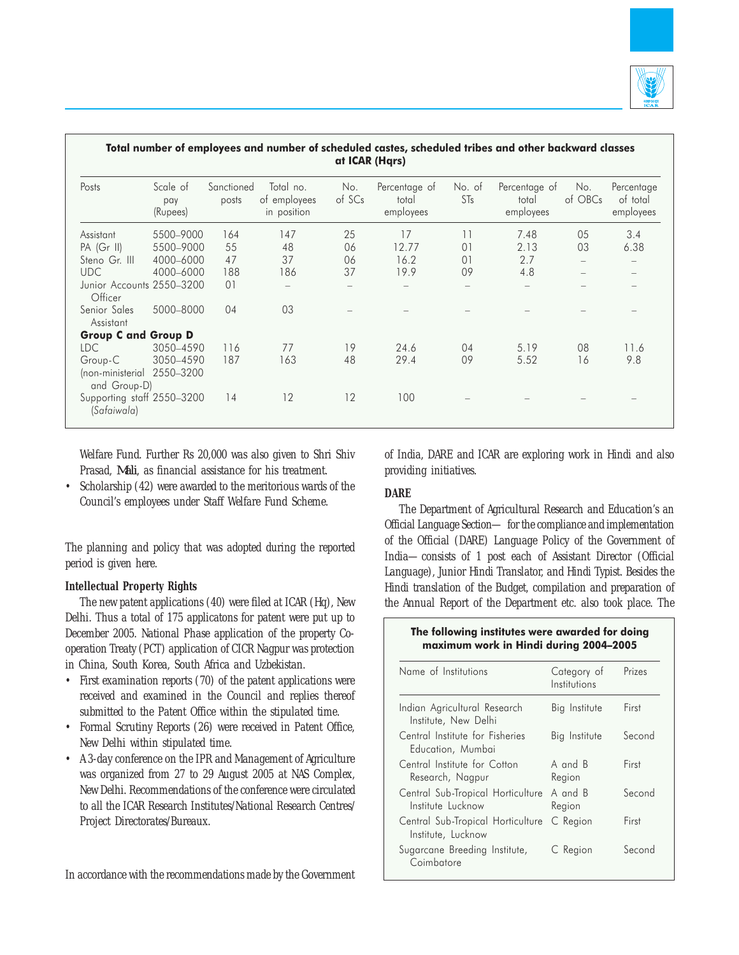

| Posts                                     | Scale of<br>pay<br>(Rupees) | Sanctioned<br>posts | Total no.<br>of employees<br>in position | No.<br>of SCs | Percentage of<br>total<br>employees | No. of<br>STs  | Percentage of<br>total<br>employees | No.<br>of OBCs | Percentage<br>of total<br>employees |
|-------------------------------------------|-----------------------------|---------------------|------------------------------------------|---------------|-------------------------------------|----------------|-------------------------------------|----------------|-------------------------------------|
| Assistant                                 | 5500-9000                   | 164                 | 147                                      | 25            | 17                                  | 11             | 7.48                                | 05             | 3.4                                 |
| PA (Gr II)                                | 5500-9000                   | 55                  | 48                                       | 06            | 12.77                               | 0 <sub>1</sub> | 2.13                                | 03             | 6.38                                |
| Steno Gr. III                             | 4000-6000                   | 47                  | 37                                       | 06            | 16.2                                | 0 <sub>1</sub> | 2.7                                 |                |                                     |
| <b>UDC</b>                                | 4000-6000                   | 188                 | 186                                      | 37            | 19.9                                | 09             | 4.8                                 |                |                                     |
| Junior Accounts 2550-3200<br>Officer      |                             | 0 <sub>1</sub>      |                                          |               |                                     |                |                                     |                |                                     |
| Senior Sales<br>Assistant                 | 5000-8000                   | 04                  | 03                                       |               |                                     |                |                                     |                |                                     |
| <b>Group C and Group D</b>                |                             |                     |                                          |               |                                     |                |                                     |                |                                     |
| <b>LDC</b>                                | 3050-4590                   | 116                 | 77                                       | 19            | 24.6                                | 04             | 5.19                                | 08             | 11.6                                |
| Group-C                                   | 3050-4590                   | 187                 | 163                                      | 48            | 29.4                                | 09             | 5.52                                | 16             | 9.8                                 |
| (non-ministerial<br>and Group-D)          | 2550-3200                   |                     |                                          |               |                                     |                |                                     |                |                                     |
| Supporting staff 2550-3200<br>(Safaiwala) |                             | 14                  | 12                                       | 12            | 100                                 |                |                                     |                |                                     |

Welfare Fund. Further Rs 20,000 was also given to Shri Shiv Prasad, *Mali*, as financial assistance for his treatment.

• Scholarship (42) were awarded to the meritorious wards of the Council's employees under Staff Welfare Fund Scheme.

The planning and policy that was adopted during the reported period is given here.

# **Intellectual Property Rights**

The new patent applications (40) were filed at ICAR (Hq), New Delhi. Thus a total of 175 applicatons for patent were put up to December 2005. National Phase application of the property Cooperation Treaty (PCT) application of CICR Nagpur was protection in China, South Korea, South Africa and Uzbekistan.

- First examination reports (70) of the patent applications were received and examined in the Council and replies thereof submitted to the Patent Office within the stipulated time.
- Formal Scrutiny Reports (26) were received in Patent Office, New Delhi within stipulated time.
- A 3-day conference on the IPR and Management of Agriculture was organized from 27 to 29 August 2005 at NAS Complex, New Delhi. Recommendations of the conference were circulated to all the ICAR Research Institutes/National Research Centres/ Project Directorates/Bureaux.

In accordance with the recommendations made by the Government

of India, DARE and ICAR are exploring work in Hindi and also providing initiatives.

# **DARE**

The Department of Agricultural Research and Education's an Official Language Section— for the compliance and implementation of the Official (DARE) Language Policy of the Government of India—consists of 1 post each of Assistant Director (Official Language), Junior Hindi Translator, and Hindi Typist. Besides the Hindi translation of the Budget, compilation and preparation of the Annual Report of the Department etc. also took place. The

#### The following institutes were awarded for doing maximum work in Hindi during 2004–2005

| Name of Institutions                                    | Category of<br>Institutions | Prizes |
|---------------------------------------------------------|-----------------------------|--------|
| Indian Agricultural Research<br>Institute, New Delhi    | Big Institute               | First  |
| Central Institute for Fisheries<br>Education, Mumbai    | Big Institute               | Second |
| Central Institute for Cotton<br>Research, Nagpur        | A and B<br>Region           | First  |
| Central Sub-Tropical Horticulture<br>Institute Lucknow  | A and B<br>Region           | Second |
| Central Sub-Tropical Horticulture<br>Institute, Lucknow | C Region                    | First  |
| Sugarcane Breeding Institute,<br>Coimbatore             | C Region                    | Second |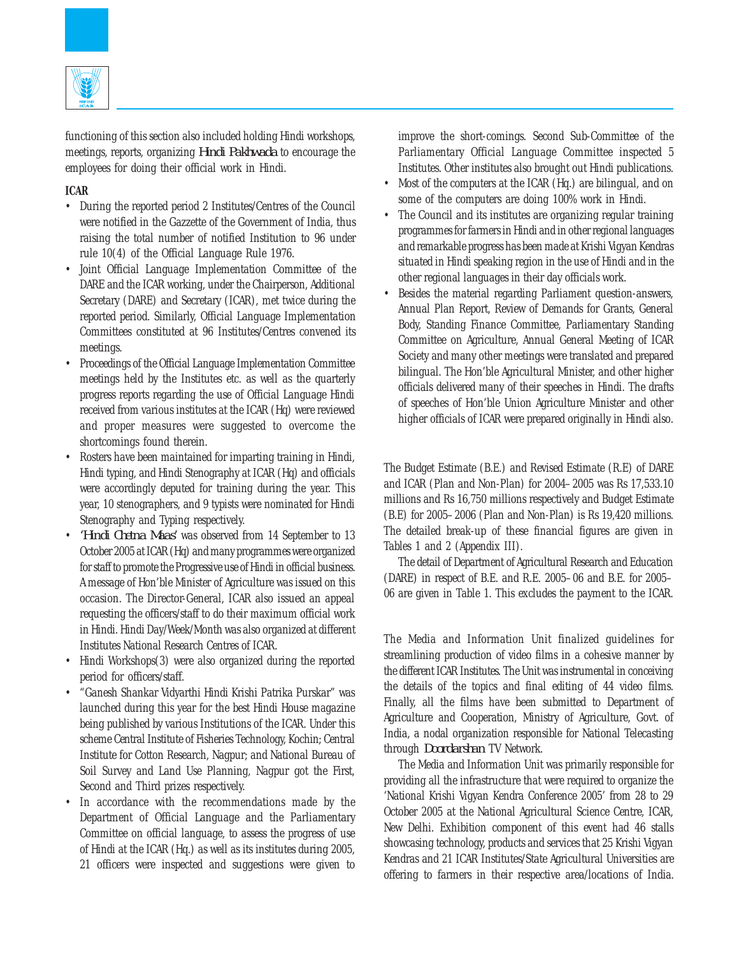

functioning of this section also included holding Hindi workshops, meetings, reports, organizing *Hindi Pakhwada* to encourage the employees for doing their official work in Hindi.

# **ICAR**

- During the reported period 2 Institutes/Centres of the Council were notified in the Gazzette of the Government of India, thus raising the total number of notified Institution to 96 under rule 10(4) of the Official Language Rule 1976.
- Joint Official Language Implementation Committee of the DARE and the ICAR working, under the Chairperson, Additional Secretary (DARE) and Secretary (ICAR), met twice during the reported period. Similarly, Official Language Implementation Committees constituted at 96 Institutes/Centres convened its meetings.
- Proceedings of the Official Language Implementation Committee meetings held by the Institutes etc. as well as the quarterly progress reports regarding the use of Official Language Hindi received from various institutes at the ICAR (Hq) were reviewed and proper measures were suggested to overcome the shortcomings found therein.
- Rosters have been maintained for imparting training in Hindi, Hindi typing, and Hindi Stenography at ICAR (Hq) and officials were accordingly deputed for training during the year. This year, 10 stenographers, and 9 typists were nominated for Hindi Stenography and Typing respectively.
- *'Hindi Chetna Maas'* was observed from 14 September to 13 October 2005 at ICAR (Hq) and many programmes were organized for staff to promote the Progressive use of Hindi in official business. A message of Hon'ble Minister of Agriculture was issued on this occasion. The Director-General, ICAR also issued an appeal requesting the officers/staff to do their maximum official work in Hindi. Hindi Day/Week/Month was also organized at different Institutes National Research Centres of ICAR.
- Hindi Workshops (3) were also organized during the reported period for officers/staff.
- "Ganesh Shankar Vidyarthi Hindi Krishi Patrika Purskar" was launched during this year for the best Hindi House magazine being published by various Institutions of the ICAR. Under this scheme Central Institute of Fisheries Technology, Kochin; Central Institute for Cotton Research, Nagpur; and National Bureau of Soil Survey and Land Use Planning, Nagpur got the First, Second and Third prizes respectively.
- In accordance with the recommendations made by the Department of Official Language and the Parliamentary Committee on official language, to assess the progress of use of Hindi at the ICAR (Hq.) as well as its institutes during 2005, 21 officers were inspected and suggestions were given to

improve the short-comings. Second Sub-Committee of the Parliamentary Official Language Committee inspected 5 Institutes. Other institutes also brought out Hindi publications.

- Most of the computers at the ICAR (Hq.) are bilingual, and on some of the computers are doing 100% work in Hindi.
- The Council and its institutes are organizing regular training programmes for farmers in Hindi and in other regional languages and remarkable progress has been made at Krishi Vigyan Kendras situated in Hindi speaking region in the use of Hindi and in the other regional languages in their day officials work.
- Besides the material regarding Parliament question-answers, Annual Plan Report, Review of Demands for Grants, General Body, Standing Finance Committee, Parliamentary Standing Committee on Agriculture, Annual General Meeting of ICAR Society and many other meetings were translated and prepared bilingual. The Hon'ble Agricultural Minister, and other higher officials delivered many of their speeches in Hindi. The drafts of speeches of Hon'ble Union Agriculture Minister and other higher officials of ICAR were prepared originally in Hindi also.

The Budget Estimate (B.E.) and Revised Estimate (R.E) of DARE and ICAR (Plan and Non-Plan) for 2004–2005 was Rs 17,533.10 millions and Rs 16,750 millions respectively and Budget Estimate (B.E) for 2005–2006 (Plan and Non-Plan) is Rs 19,420 millions. The detailed break-up of these financial figures are given in Tables 1 and 2 (Appendix III).

The detail of Department of Agricultural Research and Education (DARE) in respect of B.E. and R.E. 2005–06 and B.E. for 2005– 06 are given in Table 1. This excludes the payment to the ICAR.

The Media and Information Unit finalized guidelines for streamlining production of video films in a cohesive manner by the different ICAR Institutes. The Unit was instrumental in conceiving the details of the topics and final editing of 44 video films. Finally, all the films have been submitted to Department of Agriculture and Cooperation, Ministry of Agriculture, Govt. of India, a nodal organization responsible for National Telecasting through *Doordarshan* TV Network.

The Media and Information Unit was primarily responsible for providing all the infrastructure that were required to organize the 'National Krishi Vigyan Kendra Conference 2005' from 28 to 29 October 2005 at the National Agricultural Science Centre, ICAR, New Delhi. Exhibition component of this event had 46 stalls showcasing technology, products and services that 25 Krishi Vigyan Kendras and 21 ICAR Institutes/State Agricultural Universities are offering to farmers in their respective area/locations of India.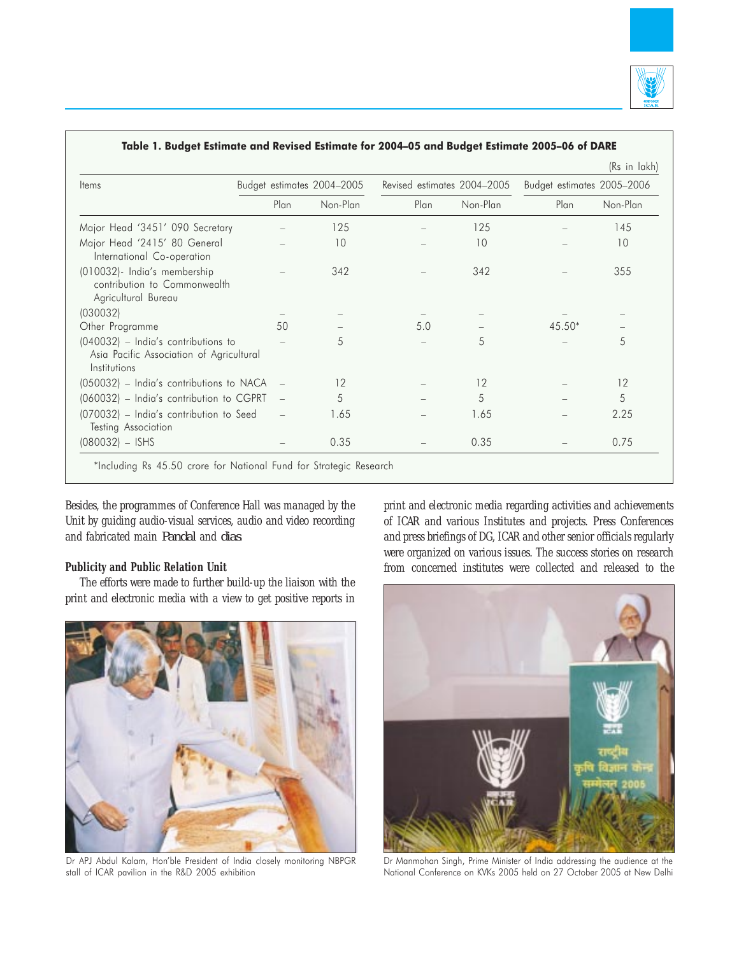

| <b>Items</b>                                                                                      | Budget estimates 2004-2005 |          |      | Revised estimates 2004-2005 | Budget estimates 2005-2006 |          |  |
|---------------------------------------------------------------------------------------------------|----------------------------|----------|------|-----------------------------|----------------------------|----------|--|
|                                                                                                   | Plan                       | Non-Plan | Plan | Non-Plan                    | Plan                       | Non-Plan |  |
| Major Head '3451' 090 Secretary                                                                   |                            | 125      |      | 125                         |                            | 145      |  |
| Major Head '2415' 80 General<br>International Co-operation                                        |                            | 10       |      | 10                          |                            | 10       |  |
| (010032)- India's membership<br>contribution to Commonwealth<br>Agricultural Bureau               |                            | 342      |      | 342                         |                            | 355      |  |
| (030032)                                                                                          |                            |          |      |                             |                            |          |  |
| Other Programme                                                                                   | 50                         |          | 5.0  |                             | $45.50*$                   |          |  |
| $(040032)$ – India's contributions to<br>Asia Pacific Association of Agricultural<br>Institutions |                            | 5        |      | 5                           |                            | 5        |  |
| (050032) - India's contributions to NACA                                                          |                            | 12       |      | 12                          |                            | 12       |  |
| (060032) - India's contribution to CGPRT                                                          |                            | 5        |      | 5                           |                            | 5        |  |
| (070032) - India's contribution to Seed<br>Testing Association                                    |                            | 1.65     |      | 1.65                        |                            | 2.25     |  |
| $(080032) - ISHS$                                                                                 |                            | 0.35     |      | 0.35                        |                            | 0.75     |  |

Table 1. Budget Estimate and Revised Estimate for 2004–05 and Budget Estimate 2005–06 of DARE

Besides, the programmes of Conference Hall was managed by the Unit by guiding audio-visual services, audio and video recording and fabricated main *Pandal* and *dias*.

# **Publicity and Public Relation Unit**

The efforts were made to further build-up the liaison with the print and electronic media with a view to get positive reports in



Dr APJ Abdul Kalam, Hon'ble President of India closely monitoring NBPGR stall of ICAR pavilion in the R&D 2005 exhibition

print and electronic media regarding activities and achievements of ICAR and various Institutes and projects. Press Conferences and press briefings of DG, ICAR and other senior officials regularly were organized on various issues. The success stories on research from concerned institutes were collected and released to the



Dr Manmohan Singh, Prime Minister of India addressing the audience at the National Conference on KVKs 2005 held on 27 October 2005 at New Delhi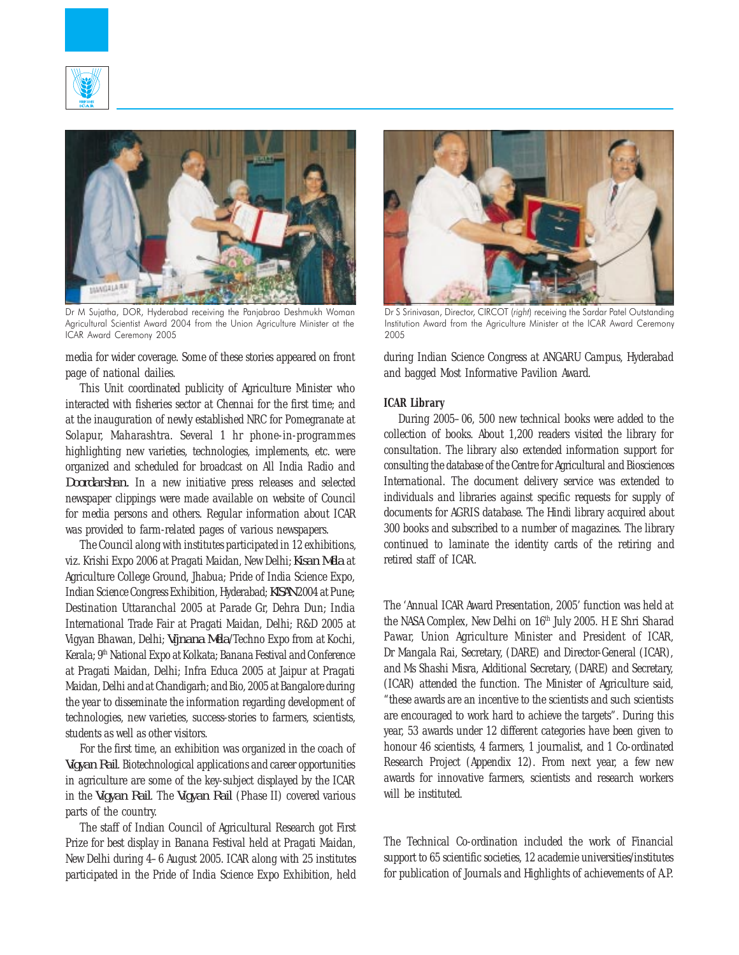



Dr M Sujatha, DOR, Hyderabad receiving the Panjabrao Deshmukh Woman Agricultural Scientist Award 2004 from the Union Agriculture Minister at the ICAR Award Ceremony 2005

media for wider coverage. Some of these stories appeared on front page of national dailies.

This Unit coordinated publicity of Agriculture Minister who interacted with fisheries sector at Chennai for the first time; and at the inauguration of newly established NRC for Pomegranate at Solapur, Maharashtra. Several 1 hr phone-in-programmes highlighting new varieties, technologies, implements, etc. were organized and scheduled for broadcast on All India Radio and *Doordarshan.* In a new initiative press releases and selected newspaper clippings were made available on website of Council for media persons and others. Regular information about ICAR was provided to farm-related pages of various newspapers.

The Council along with institutes participated in 12 exhibitions, viz. Krishi Expo 2006 at Pragati Maidan, New Delhi; *Kisan Mela* at Agriculture College Ground, Jhabua; Pride of India Science Expo, Indian Science Congress Exhibition, Hyderabad; *KISAN* 2004 at Pune; Destination Uttaranchal 2005 at Parade Gr, Dehra Dun; India International Trade Fair at Pragati Maidan, Delhi; R&D 2005 at Vigyan Bhawan, Delhi; *Vijnana Mela*/Techno Expo from at Kochi, Kerala; 9<sup>th</sup> National Expo at Kolkata; Banana Festival and Conference at Pragati Maidan, Delhi; Infra Educa 2005 at Jaipur at Pragati Maidan, Delhi and at Chandigarh; and Bio, 2005 at Bangalore during the year to disseminate the information regarding development of technologies, new varieties, success-stories to farmers, scientists, students as well as other visitors.

For the first time, an exhibition was organized in the coach of *Vigyan Rail*. Biotechnological applications and career opportunities in agriculture are some of the key-subject displayed by the ICAR in the *Vigyan Rail*. The *Vigyan Rail* (Phase II) covered various parts of the country.

The staff of Indian Council of Agricultural Research got First Prize for best display in Banana Festival held at Pragati Maidan, New Delhi during 4–6 August 2005. ICAR along with 25 institutes participated in the Pride of India Science Expo Exhibition, held



Dr S Srinivasan, Director, CIRCOT (right) receiving the Sardar Patel Outstanding Institution Award from the Agriculture Minister at the ICAR Award Ceremony 2005

during Indian Science Congress at ANGARU Campus, Hyderabad and bagged Most Informative Pavilion Award.

#### **ICAR Library**

During 2005–06, 500 new technical books were added to the collection of books. About 1,200 readers visited the library for consultation. The library also extended information support for consulting the database of the Centre for Agricultural and Biosciences International. The document delivery service was extended to individuals and libraries against specific requests for supply of documents for AGRIS database. The Hindi library acquired about 300 books and subscribed to a number of magazines. The library continued to laminate the identity cards of the retiring and retired staff of ICAR.

The 'Annual ICAR Award Presentation, 2005' function was held at the NASA Complex, New Delhi on 16<sup>th</sup> July 2005. H E Shri Sharad Pawar, Union Agriculture Minister and President of ICAR, Dr Mangala Rai, Secretary, (DARE) and Director-General (ICAR), and Ms Shashi Misra, Additional Secretary, (DARE) and Secretary, (ICAR) attended the function. The Minister of Agriculture said, "these awards are an incentive to the scientists and such scientists are encouraged to work hard to achieve the targets". During this year, 53 awards under 12 different categories have been given to honour 46 scientists, 4 farmers, 1 journalist, and 1 Co-ordinated Research Project (Appendix 12). From next year, a few new awards for innovative farmers, scientists and research workers will be instituted.

The Technical Co-ordination included the work of Financial support to 65 scientific societies, 12 academie universities/institutes for publication of Journals and Highlights of achievements of A.P.